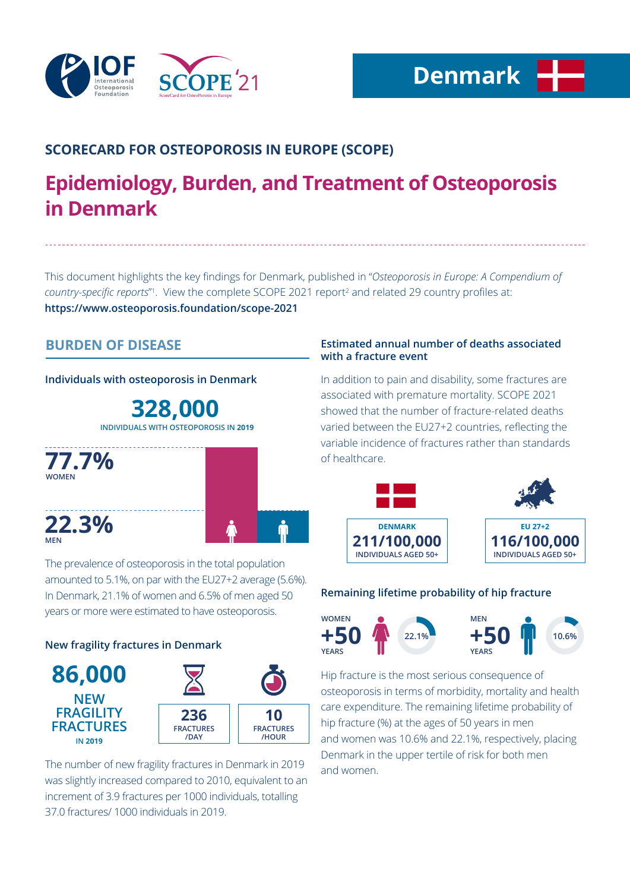

# **SCORECARD FOR OSTEOPOROSIS IN EUROPE (SCOPE)**

# **Epidemiology, Burden, and Treatment of Osteoporosis in Denmark**

This document highlights the key findings for Denmark, published in "*Osteoporosis in Europe: A Compendium of*  country-specific reports<sup>"</sup>. View the complete SCOPE 2021 report<sup>2</sup> and related 29 country profiles at: **https://www.osteoporosis.foundation/scope-2021**

# **BURDEN OF DISEASE**

**Individuals with osteoporosis in Denmark**

**328,000 INDIVIDUALS WITH OSTEOPOROSIS IN 2019**



The prevalence of osteoporosis in the total population amounted to 5.1%, on par with the EU27+2 average (5.6%). In Denmark, 21.1% of women and 6.5% of men aged 50 years or more were estimated to have osteoporosis.

## **New fragility fractures in Denmark**



The number of new fragility fractures in Denmark in 2019 was slightly increased compared to 2010, equivalent to an increment of 3.9 fractures per 1000 individuals, totalling 37.0 fractures/ 1000 individuals in 2019.

### **Estimated annual number of deaths associated with a fracture event**

In addition to pain and disability, some fractures are associated with premature mortality. SCOPE 2021 showed that the number of fracture-related deaths varied between the EU27+2 countries, reflecting the variable incidence of fractures rather than standards of healthcare.



## **Remaining lifetime probability of hip fracture**



Hip fracture is the most serious consequence of osteoporosis in terms of morbidity, mortality and health care expenditure. The remaining lifetime probability of hip fracture (%) at the ages of 50 years in men and women was 10.6% and 22.1%, respectively, placing Denmark in the upper tertile of risk for both men and women.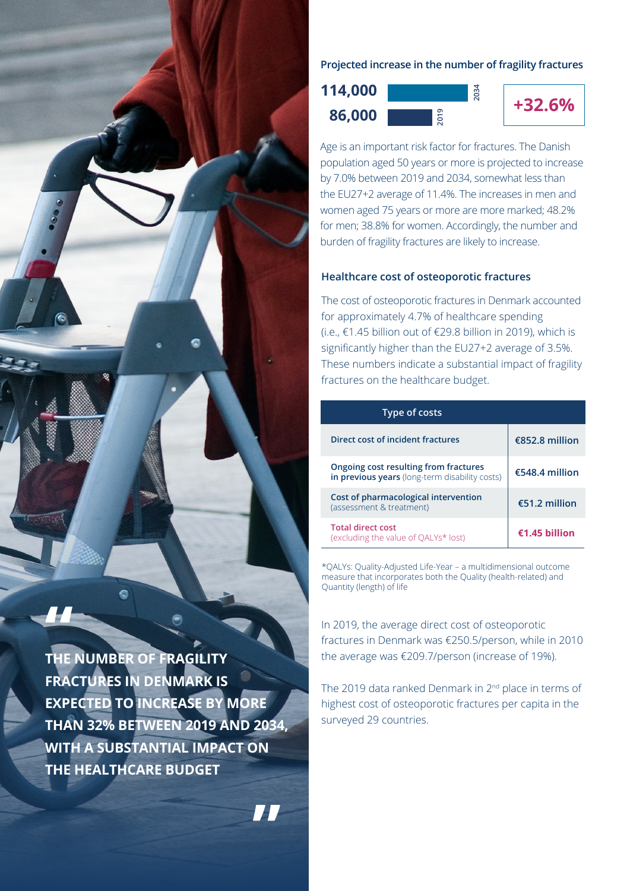

**THE NUMBER OF FRAGILITY FRACTURES IN DENMARK IS EXPECTED TO INCREASE BY MORE THAN 32% BETWEEN 2019 AND 2034, WITH A SUBSTANTIAL IMPACT ON THE HEALTHCARE BUDGET**

**"**

**Projected increase in the number of fragility fractures**

**2034**

**+32.6% 86,000 114,000**



Age is an important risk factor for fractures. The Danish population aged 50 years or more is projected to increase by 7.0% between 2019 and 2034, somewhat less than the EU27+2 average of 11.4%. The increases in men and women aged 75 years or more are more marked; 48.2% for men; 38.8% for women. Accordingly, the number and burden of fragility fractures are likely to increase.

#### **Healthcare cost of osteoporotic fractures**

The cost of osteoporotic fractures in Denmark accounted for approximately 4.7% of healthcare spending (i.e., €1.45 billion out of €29.8 billion in 2019), which is significantly higher than the EU27+2 average of 3.5%. These numbers indicate a substantial impact of fragility fractures on the healthcare budget.

| Type of costs                                                                           |                 |
|-----------------------------------------------------------------------------------------|-----------------|
| Direct cost of incident fractures                                                       | €852.8 million  |
| Ongoing cost resulting from fractures<br>in previous years (long-term disability costs) | €548.4 million  |
| Cost of pharmacological intervention<br>(assessment & treatment)                        | €51.2 million   |
| <b>Total direct cost</b><br>(excluding the value of QALYs* lost)                        | $£1.45$ hillion |

\*QALYs: Quality-Adjusted Life-Year – a multidimensional outcome measure that incorporates both the Quality (health-related) and Quantity (length) of life

In 2019, the average direct cost of osteoporotic fractures in Denmark was €250.5/person, while in 2010 the average was €209.7/person (increase of 19%).

The 2019 data ranked Denmark in 2nd place in terms of highest cost of osteoporotic fractures per capita in the surveyed 29 countries.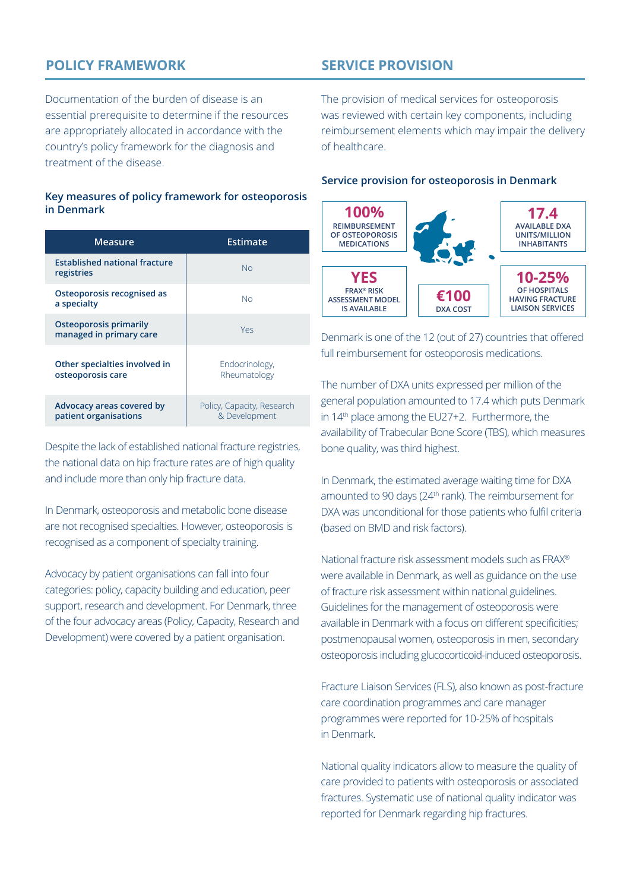# **POLICY FRAMEWORK**

**SERVICE PROVISION**

Documentation of the burden of disease is an essential prerequisite to determine if the resources are appropriately allocated in accordance with the country's policy framework for the diagnosis and treatment of the disease.

#### **Key measures of policy framework for osteoporosis in Denmark**

| Measure                                                  | <b>Estimate</b>                             |
|----------------------------------------------------------|---------------------------------------------|
| <b>Established national fracture</b><br>registries       | Nο                                          |
| Osteoporosis recognised as<br>a specialty                | Nο                                          |
| <b>Osteoporosis primarily</b><br>managed in primary care | Yes                                         |
| Other specialties involved in<br>osteoporosis care       | Endocrinology,<br>Rheumatology              |
| Advocacy areas covered by<br>patient organisations       | Policy, Capacity, Research<br>& Development |

Despite the lack of established national fracture registries, the national data on hip fracture rates are of high quality and include more than only hip fracture data.

In Denmark, osteoporosis and metabolic bone disease are not recognised specialties. However, osteoporosis is recognised as a component of specialty training.

Advocacy by patient organisations can fall into four categories: policy, capacity building and education, peer support, research and development. For Denmark, three of the four advocacy areas (Policy, Capacity, Research and Development) were covered by a patient organisation.

The provision of medical services for osteoporosis was reviewed with certain key components, including reimbursement elements which may impair the delivery of healthcare.

#### **Service provision for osteoporosis in Denmark**



Denmark is one of the 12 (out of 27) countries that offered full reimbursement for osteoporosis medications.

The number of DXA units expressed per million of the general population amounted to 17.4 which puts Denmark in 14th place among the EU27+2. Furthermore, the availability of Trabecular Bone Score (TBS), which measures bone quality, was third highest.

In Denmark, the estimated average waiting time for DXA amounted to 90 days (24<sup>th</sup> rank). The reimbursement for DXA was unconditional for those patients who fulfil criteria (based on BMD and risk factors).

National fracture risk assessment models such as FRAX® were available in Denmark, as well as guidance on the use of fracture risk assessment within national guidelines. Guidelines for the management of osteoporosis were available in Denmark with a focus on different specificities; postmenopausal women, osteoporosis in men, secondary osteoporosis including glucocorticoid-induced osteoporosis.

Fracture Liaison Services (FLS), also known as post-fracture care coordination programmes and care manager programmes were reported for 10-25% of hospitals in Denmark.

National quality indicators allow to measure the quality of care provided to patients with osteoporosis or associated fractures. Systematic use of national quality indicator was reported for Denmark regarding hip fractures.